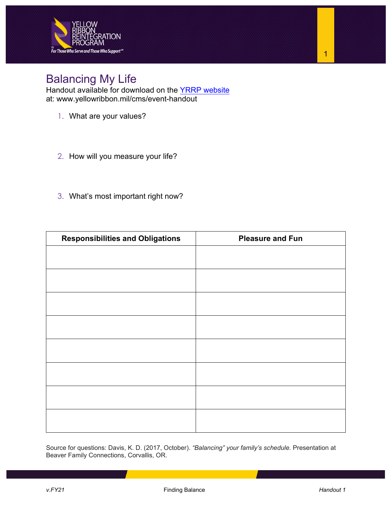

## Balancing My Life

Handout available for download on the [YRRP website](https://www.yellowribbon.mil/cms/event-handout) at: [www.yellowribbon.mil/cms/event-handout](https://www.yellowribbon.mil/cms/event-handout) 

- 1. What are your values?
- 2. How will you measure your life?
- 3. What's most important right now?

| <b>Responsibilities and Obligations</b> | <b>Pleasure and Fun</b> |
|-----------------------------------------|-------------------------|
|                                         |                         |
|                                         |                         |
|                                         |                         |
|                                         |                         |
|                                         |                         |
|                                         |                         |
|                                         |                         |
|                                         |                         |
|                                         |                         |
|                                         |                         |
|                                         |                         |
|                                         |                         |
|                                         |                         |
|                                         |                         |
|                                         |                         |
|                                         |                         |

Source for questions: Davis, K. D. (2017, October). *"Balancing" your family's schedule.* Presentation at Beaver Family Connections, Corvallis, OR.

1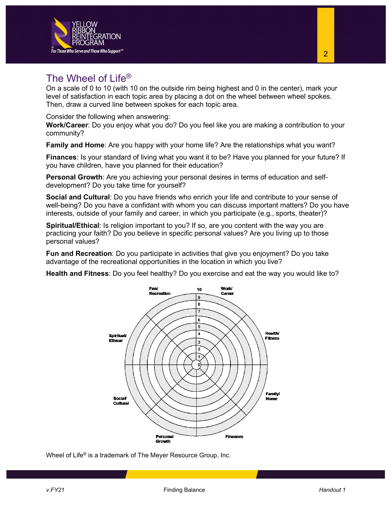

On a scale of 0 to 10 (with 10 on the outside rim being highest and 0 in the center), mark your level of satisfaction in each topic area by placing a dot on the wheel between wheel spokes. Then, draw a curved line between spokes for each topic area.

Consider the following when answering:

**Work/Career**: Do you enjoy what you do? Do you feel like you are making a contribution to your community?

**Family and Home**: Are you happy with your home life? Are the relationships what you want?

**Finances**: Is your standard of living what you want it to be? Have you planned for your future? If you have children, have you planned for their education?

**Personal Growth**: Are you achieving your personal desires in terms of education and selfdevelopment? Do you take time for yourself?

**Social and Cultural**: Do you have friends who enrich your life and contribute to your sense of well-being? Do you have a confidant with whom you can discuss important matters? Do you have interests, outside of your family and career, in which you participate (e.g., sports, theater)?

**Spiritual/Ethical**: Is religion important to you? If so, are you content with the way you are practicing your faith? Do you believe in specific personal values? Are you living up to those personal values?

**Fun and Recreation**: Do you participate in activities that give you enjoyment? Do you take advantage of the recreational opportunities in the location in which you live?

**Health and Fitness**: Do you feel healthy? Do you exercise and eat the way you would like to?



Wheel of Life® is a trademark of The Meyer Resource Group, Inc.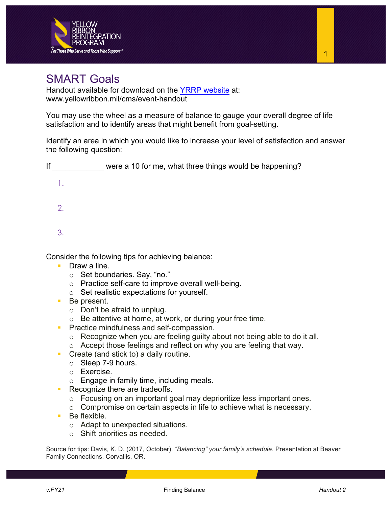

## SMART Goals

Handout available for download on the [YRRP website](https://www.yellowribbon.mil/cms/event-handout) at: [www.yellowribbon.mil/cms/event-handout](https://www.yellowribbon.mil/cms/event-handout)

You may use the wheel as a measure of balance to gauge your overall degree of life satisfaction and to identify areas that might benefit from goal-setting.

Identify an area in which you would like to increase your level of satisfaction and answer the following question:

| lf | were a 10 for me, what three things would be happening? |
|----|---------------------------------------------------------|
|    |                                                         |
| 2. |                                                         |
| 3. |                                                         |
|    | Consider the following tips for achieving balance:      |

- **Draw a line.** 
	- o Set boundaries. Say, "no."
	- o Practice self-care to improve overall well-being.
	- o Set realistic expectations for yourself.
- Be present.
	- o Don't be afraid to unplug.
	- o Be attentive at home, at work, or during your free time.
- **Practice mindfulness and self-compassion.** 
	- o Recognize when you are feeling guilty about not being able to do it all.
	- o Accept those feelings and reflect on why you are feeling that way.
- Create (and stick to) a daily routine.
	- o Sleep 7-9 hours.
	- o Exercise.
	- o Engage in family time, including meals.
- Recognize there are tradeoffs.
	- o Focusing on an important goal may deprioritize less important ones.
	- o Compromise on certain aspects in life to achieve what is necessary.
- Be flexible.
	- o Adapt to unexpected situations.
	- o Shift priorities as needed.

Source for tips: Davis, K. D. (2017, October). *"Balancing" your family's schedule*. Presentation at Beaver Family Connections, Corvallis, OR.